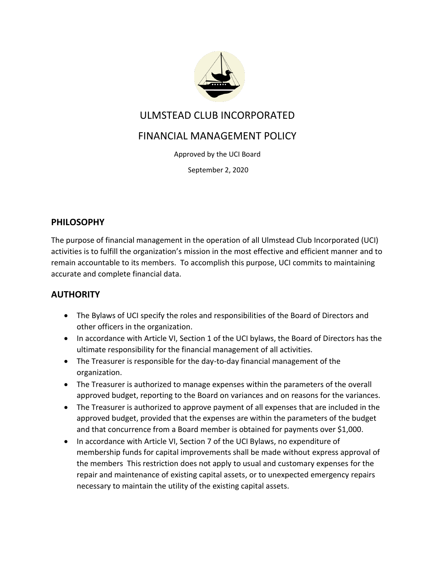

## ULMSTEAD CLUB INCORPORATED

# FINANCIAL MANAGEMENT POLICY

Approved by the UCI Board

September 2, 2020

### **PHILOSOPHY**

The purpose of financial management in the operation of all Ulmstead Club Incorporated (UCI) activities is to fulfill the organization's mission in the most effective and efficient manner and to remain accountable to its members. To accomplish this purpose, UCI commits to maintaining accurate and complete financial data.

## **AUTHORITY**

- The Bylaws of UCI specify the roles and responsibilities of the Board of Directors and other officers in the organization.
- In accordance with Article VI, Section 1 of the UCI bylaws, the Board of Directors has the ultimate responsibility for the financial management of all activities.
- The Treasurer is responsible for the day-to-day financial management of the organization.
- The Treasurer is authorized to manage expenses within the parameters of the overall approved budget, reporting to the Board on variances and on reasons for the variances.
- The Treasurer is authorized to approve payment of all expenses that are included in the approved budget, provided that the expenses are within the parameters of the budget and that concurrence from a Board member is obtained for payments over \$1,000.
- In accordance with Article VI, Section 7 of the UCI Bylaws, no expenditure of membership funds for capital improvements shall be made without express approval of the members This restriction does not apply to usual and customary expenses for the repair and maintenance of existing capital assets, or to unexpected emergency repairs necessary to maintain the utility of the existing capital assets.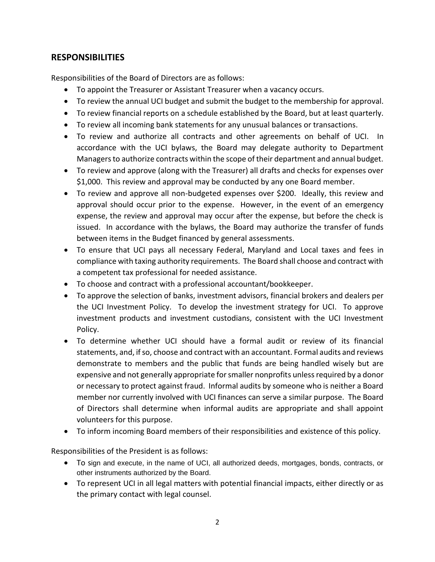### **RESPONSIBILITIES**

Responsibilities of the Board of Directors are as follows:

- To appoint the Treasurer or Assistant Treasurer when a vacancy occurs.
- To review the annual UCI budget and submit the budget to the membership for approval.
- To review financial reports on a schedule established by the Board, but at least quarterly.
- To review all incoming bank statements for any unusual balances or transactions.
- To review and authorize all contracts and other agreements on behalf of UCI. In accordance with the UCI bylaws, the Board may delegate authority to Department Managers to authorize contracts within the scope of their department and annual budget.
- To review and approve (along with the Treasurer) all drafts and checks for expenses over \$1,000. This review and approval may be conducted by any one Board member.
- To review and approve all non-budgeted expenses over \$200. Ideally, this review and approval should occur prior to the expense. However, in the event of an emergency expense, the review and approval may occur after the expense, but before the check is issued. In accordance with the bylaws, the Board may authorize the transfer of funds between items in the Budget financed by general assessments.
- To ensure that UCI pays all necessary Federal, Maryland and Local taxes and fees in compliance with taxing authority requirements. The Board shall choose and contract with a competent tax professional for needed assistance.
- To choose and contract with a professional accountant/bookkeeper.
- To approve the selection of banks, investment advisors, financial brokers and dealers per the UCI Investment Policy. To develop the investment strategy for UCI. To approve investment products and investment custodians, consistent with the UCI Investment Policy.
- To determine whether UCI should have a formal audit or review of its financial statements, and, if so, choose and contract with an accountant. Formal audits and reviews demonstrate to members and the public that funds are being handled wisely but are expensive and not generally appropriate for smaller nonprofits unless required by a donor or necessary to protect against fraud. Informal audits by someone who is neither a Board member nor currently involved with UCI finances can serve a similar purpose. The Board of Directors shall determine when informal audits are appropriate and shall appoint volunteers for this purpose.
- To inform incoming Board members of their responsibilities and existence of this policy.

Responsibilities of the President is as follows:

- To sign and execute, in the name of UCI, all authorized deeds, mortgages, bonds, contracts, or other instruments authorized by the Board.
- To represent UCI in all legal matters with potential financial impacts, either directly or as the primary contact with legal counsel.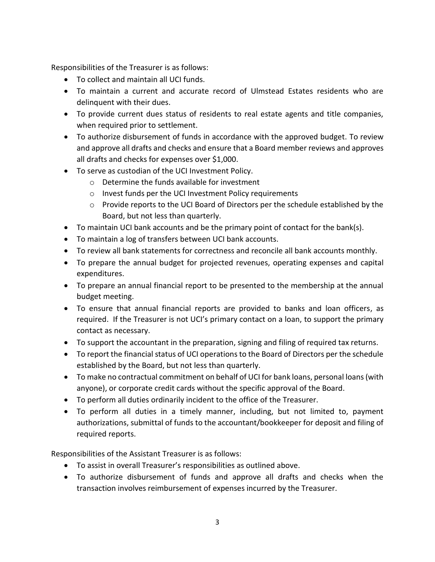Responsibilities of the Treasurer is as follows:

- To collect and maintain all UCI funds.
- To maintain a current and accurate record of Ulmstead Estates residents who are delinquent with their dues.
- To provide current dues status of residents to real estate agents and title companies, when required prior to settlement.
- To authorize disbursement of funds in accordance with the approved budget. To review and approve all drafts and checks and ensure that a Board member reviews and approves all drafts and checks for expenses over \$1,000.
- To serve as custodian of the UCI Investment Policy.
	- $\circ$  Determine the funds available for investment
	- o Invest funds per the UCI Investment Policy requirements
	- o Provide reports to the UCI Board of Directors per the schedule established by the Board, but not less than quarterly.
- To maintain UCI bank accounts and be the primary point of contact for the bank(s).
- To maintain a log of transfers between UCI bank accounts.
- To review all bank statements for correctness and reconcile all bank accounts monthly.
- To prepare the annual budget for projected revenues, operating expenses and capital expenditures.
- To prepare an annual financial report to be presented to the membership at the annual budget meeting.
- To ensure that annual financial reports are provided to banks and loan officers, as required. If the Treasurer is not UCI's primary contact on a loan, to support the primary contact as necessary.
- To support the accountant in the preparation, signing and filing of required tax returns.
- To report the financial status of UCI operations to the Board of Directors per the schedule established by the Board, but not less than quarterly.
- To make no contractual commitment on behalf of UCI for bank loans, personal loans (with anyone), or corporate credit cards without the specific approval of the Board.
- To perform all duties ordinarily incident to the office of the Treasurer.
- To perform all duties in a timely manner, including, but not limited to, payment authorizations, submittal of funds to the accountant/bookkeeper for deposit and filing of required reports.

Responsibilities of the Assistant Treasurer is as follows:

- To assist in overall Treasurer's responsibilities as outlined above.
- To authorize disbursement of funds and approve all drafts and checks when the transaction involves reimbursement of expenses incurred by the Treasurer.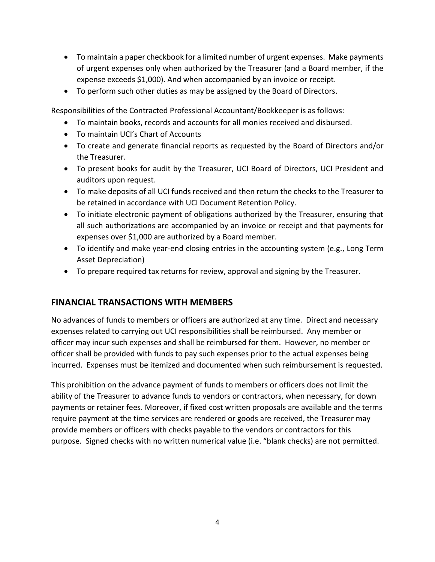- To maintain a paper checkbook for a limited number of urgent expenses. Make payments of urgent expenses only when authorized by the Treasurer (and a Board member, if the expense exceeds \$1,000). And when accompanied by an invoice or receipt.
- To perform such other duties as may be assigned by the Board of Directors.

Responsibilities of the Contracted Professional Accountant/Bookkeeper is as follows:

- To maintain books, records and accounts for all monies received and disbursed.
- To maintain UCI's Chart of Accounts
- To create and generate financial reports as requested by the Board of Directors and/or the Treasurer.
- To present books for audit by the Treasurer, UCI Board of Directors, UCI President and auditors upon request.
- To make deposits of all UCI funds received and then return the checks to the Treasurer to be retained in accordance with UCI Document Retention Policy.
- To initiate electronic payment of obligations authorized by the Treasurer, ensuring that all such authorizations are accompanied by an invoice or receipt and that payments for expenses over \$1,000 are authorized by a Board member.
- To identify and make year-end closing entries in the accounting system (e.g., Long Term Asset Depreciation)
- To prepare required tax returns for review, approval and signing by the Treasurer.

#### **FINANCIAL TRANSACTIONS WITH MEMBERS**

No advances of funds to members or officers are authorized at any time. Direct and necessary expenses related to carrying out UCI responsibilities shall be reimbursed. Any member or officer may incur such expenses and shall be reimbursed for them. However, no member or officer shall be provided with funds to pay such expenses prior to the actual expenses being incurred. Expenses must be itemized and documented when such reimbursement is requested.

This prohibition on the advance payment of funds to members or officers does not limit the ability of the Treasurer to advance funds to vendors or contractors, when necessary, for down payments or retainer fees. Moreover, if fixed cost written proposals are available and the terms require payment at the time services are rendered or goods are received, the Treasurer may provide members or officers with checks payable to the vendors or contractors for this purpose. Signed checks with no written numerical value (i.e. "blank checks) are not permitted.